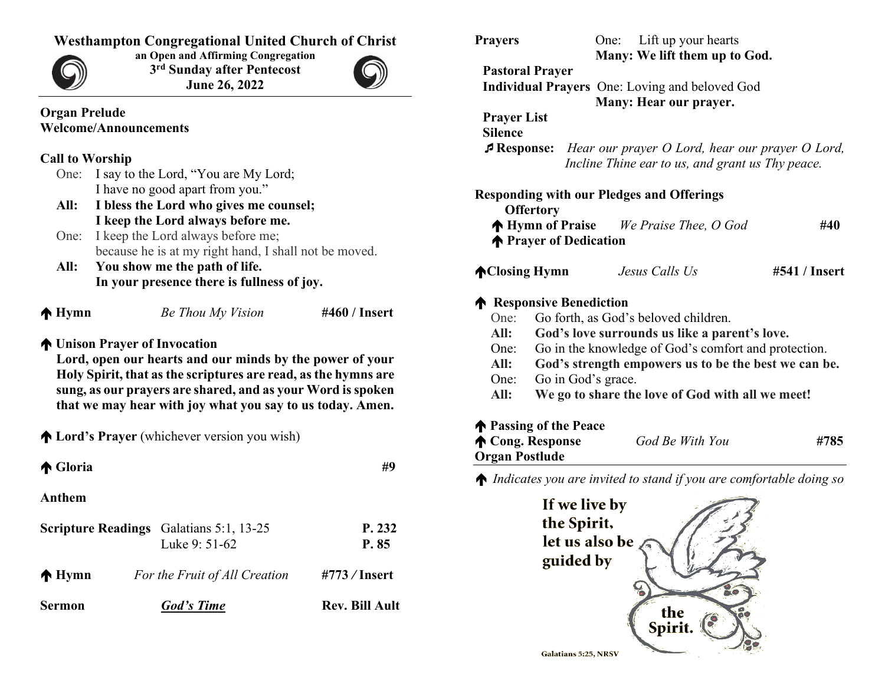### **Westhampton Congregational United Church of Christ**



**an Open and Affirming Congregation 3rd Sunday after Pentecost June 26, 2022**



#### **Organ Prelude Welcome/Announcements**

#### **Call to Worship**

- One: I say to the Lord, "You are My Lord; I have no good apart from you."
- **All: I bless the Lord who gives me counsel; I keep the Lord always before me.**
- One: I keep the Lord always before me; because he is at my right hand, I shall not be moved.
- **All: You show me the path of life. In your presence there is fullness of joy.**

 $\uparrow$  **Lord's Prayer** (whichever version you wish)

| <b>Hymn</b> |  |
|-------------|--|
|-------------|--|

**Hymn** *Be Thou My Vision* **#460 / Insert**

#### **Unison Prayer of Invocation**

**Lord, open our hearts and our minds by the power of your Holy Spirit, that as the scriptures are read, as the hymns are sung, as our prayers are shared, and as your Word is spoken that we may hear with joy what you say to us today. Amen.**

**A** Gloria #9 **Anthem Scripture Readings** Galatians 5:1, 13-25 **P. 232** Luke 9: 51-62 **P. 85 Hymn** *For the Fruit of All Creation* **#773** */* **Insert Sermon** *God's Time* **Rev. Bill Ault**

| Many: We lift them up to God.<br><b>Pastoral Prayer</b><br>Individual Prayers One: Loving and beloved God<br>Many: Hear our prayer.<br><b>Prayer List</b><br>$\sqrt{P}$ Response:<br>Hear our prayer O Lord, hear our prayer O Lord,<br>Incline Thine ear to us, and grant us Thy peace.<br><b>Responding with our Pledges and Offerings</b><br><b>Offertory</b><br><b>No Hymn of Praise</b> We Praise Thee, O God<br>#40<br><b>The Prayer of Dedication</b><br>#541 / Insert<br><b>AClosing Hymn</b><br>Jesus Calls Us<br><b>A</b> Responsive Benediction<br>Go forth, as God's beloved children.<br>God's love surrounds us like a parent's love.<br>Go in the knowledge of God's comfort and protection.<br>God's strength empowers us to be the best we can be.<br>Go in God's grace.<br>We go to share the love of God with all we meet!<br><b>The Passing of the Peace</b> | <b>Prayers</b>          |  | Lift up your hearts<br>One: |      |  |
|----------------------------------------------------------------------------------------------------------------------------------------------------------------------------------------------------------------------------------------------------------------------------------------------------------------------------------------------------------------------------------------------------------------------------------------------------------------------------------------------------------------------------------------------------------------------------------------------------------------------------------------------------------------------------------------------------------------------------------------------------------------------------------------------------------------------------------------------------------------------------------|-------------------------|--|-----------------------------|------|--|
|                                                                                                                                                                                                                                                                                                                                                                                                                                                                                                                                                                                                                                                                                                                                                                                                                                                                                  |                         |  |                             |      |  |
|                                                                                                                                                                                                                                                                                                                                                                                                                                                                                                                                                                                                                                                                                                                                                                                                                                                                                  |                         |  |                             |      |  |
|                                                                                                                                                                                                                                                                                                                                                                                                                                                                                                                                                                                                                                                                                                                                                                                                                                                                                  |                         |  |                             |      |  |
|                                                                                                                                                                                                                                                                                                                                                                                                                                                                                                                                                                                                                                                                                                                                                                                                                                                                                  |                         |  |                             |      |  |
|                                                                                                                                                                                                                                                                                                                                                                                                                                                                                                                                                                                                                                                                                                                                                                                                                                                                                  | <b>Silence</b>          |  |                             |      |  |
|                                                                                                                                                                                                                                                                                                                                                                                                                                                                                                                                                                                                                                                                                                                                                                                                                                                                                  |                         |  |                             |      |  |
|                                                                                                                                                                                                                                                                                                                                                                                                                                                                                                                                                                                                                                                                                                                                                                                                                                                                                  |                         |  |                             |      |  |
|                                                                                                                                                                                                                                                                                                                                                                                                                                                                                                                                                                                                                                                                                                                                                                                                                                                                                  |                         |  |                             |      |  |
|                                                                                                                                                                                                                                                                                                                                                                                                                                                                                                                                                                                                                                                                                                                                                                                                                                                                                  |                         |  |                             |      |  |
|                                                                                                                                                                                                                                                                                                                                                                                                                                                                                                                                                                                                                                                                                                                                                                                                                                                                                  |                         |  |                             |      |  |
|                                                                                                                                                                                                                                                                                                                                                                                                                                                                                                                                                                                                                                                                                                                                                                                                                                                                                  |                         |  |                             |      |  |
|                                                                                                                                                                                                                                                                                                                                                                                                                                                                                                                                                                                                                                                                                                                                                                                                                                                                                  |                         |  |                             |      |  |
|                                                                                                                                                                                                                                                                                                                                                                                                                                                                                                                                                                                                                                                                                                                                                                                                                                                                                  |                         |  |                             |      |  |
|                                                                                                                                                                                                                                                                                                                                                                                                                                                                                                                                                                                                                                                                                                                                                                                                                                                                                  |                         |  |                             |      |  |
|                                                                                                                                                                                                                                                                                                                                                                                                                                                                                                                                                                                                                                                                                                                                                                                                                                                                                  | One:                    |  |                             |      |  |
|                                                                                                                                                                                                                                                                                                                                                                                                                                                                                                                                                                                                                                                                                                                                                                                                                                                                                  | All:                    |  |                             |      |  |
|                                                                                                                                                                                                                                                                                                                                                                                                                                                                                                                                                                                                                                                                                                                                                                                                                                                                                  | One:                    |  |                             |      |  |
|                                                                                                                                                                                                                                                                                                                                                                                                                                                                                                                                                                                                                                                                                                                                                                                                                                                                                  | All:                    |  |                             |      |  |
|                                                                                                                                                                                                                                                                                                                                                                                                                                                                                                                                                                                                                                                                                                                                                                                                                                                                                  | One:                    |  |                             |      |  |
|                                                                                                                                                                                                                                                                                                                                                                                                                                                                                                                                                                                                                                                                                                                                                                                                                                                                                  | All:                    |  |                             |      |  |
|                                                                                                                                                                                                                                                                                                                                                                                                                                                                                                                                                                                                                                                                                                                                                                                                                                                                                  |                         |  |                             |      |  |
|                                                                                                                                                                                                                                                                                                                                                                                                                                                                                                                                                                                                                                                                                                                                                                                                                                                                                  | <b>A</b> Cong. Response |  |                             | #785 |  |
|                                                                                                                                                                                                                                                                                                                                                                                                                                                                                                                                                                                                                                                                                                                                                                                                                                                                                  |                         |  |                             |      |  |
| <b>Organ Postlude</b>                                                                                                                                                                                                                                                                                                                                                                                                                                                                                                                                                                                                                                                                                                                                                                                                                                                            |                         |  | God Be With You             |      |  |
|                                                                                                                                                                                                                                                                                                                                                                                                                                                                                                                                                                                                                                                                                                                                                                                                                                                                                  |                         |  |                             |      |  |
| $\bigwedge$ Indicates you are invited to stand if you are comfortable doing so                                                                                                                                                                                                                                                                                                                                                                                                                                                                                                                                                                                                                                                                                                                                                                                                   |                         |  |                             |      |  |
| If we live by                                                                                                                                                                                                                                                                                                                                                                                                                                                                                                                                                                                                                                                                                                                                                                                                                                                                    |                         |  |                             |      |  |
|                                                                                                                                                                                                                                                                                                                                                                                                                                                                                                                                                                                                                                                                                                                                                                                                                                                                                  |                         |  |                             |      |  |
| the Spirit,                                                                                                                                                                                                                                                                                                                                                                                                                                                                                                                                                                                                                                                                                                                                                                                                                                                                      |                         |  |                             |      |  |
| let us also be                                                                                                                                                                                                                                                                                                                                                                                                                                                                                                                                                                                                                                                                                                                                                                                                                                                                   |                         |  |                             |      |  |
| guided by                                                                                                                                                                                                                                                                                                                                                                                                                                                                                                                                                                                                                                                                                                                                                                                                                                                                        |                         |  |                             |      |  |
|                                                                                                                                                                                                                                                                                                                                                                                                                                                                                                                                                                                                                                                                                                                                                                                                                                                                                  |                         |  |                             |      |  |

Spirit

**Galatians 5:25, NRSV**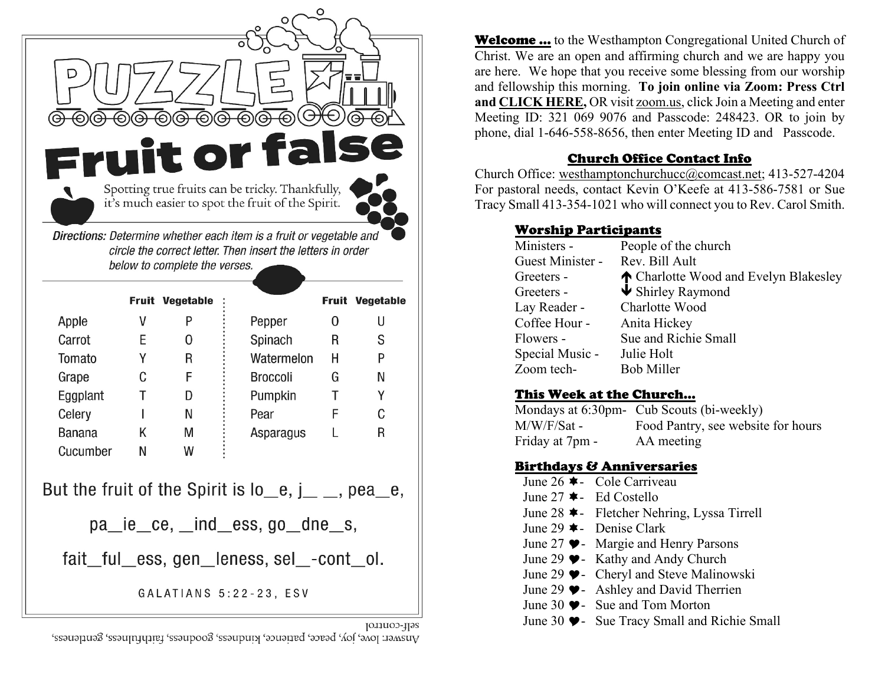

self-control Answer: love, joy, peace, patience, kindness, goodness, faithtulness, gentleness,

**Welcome** ... to the Westhampton Congregational United Church of Christ. We are an open and affirming church and we are happy you are here. We hope that you receive some blessing from our worship and fellowship this morning. **To join online via Zoom: Press Ctrl an[d CLICK HERE,](https://us06web.zoom.us/j/3210699076?pwd=UExibTJ3Uk40M2tRVlVCK1h5QUNYUT09)** OR visit zoom.us, click Join a Meeting and enter Meeting ID: 321 069 9076 and Passcode: 248423. OR to join by phone, dial 1-646-558-8656, then enter Meeting ID and Passcode.

#### Church Office Contact Info

Church Office: [westhamptonchurchucc@comcast.net;](mailto:westhamptonchurchucc@comcast.net) 413-527-4204 For pastoral needs, contact Kevin O'Keefe at 413-586-7581 or Sue Tracy Small 413-354-1021 who will connect you to Rev. Carol Smith.

#### Worship Participants

| People of the church                  |
|---------------------------------------|
| Rev. Bill Ault                        |
| ↑ Charlotte Wood and Evelyn Blakesley |
| $\blacktriangleright$ Shirley Raymond |
| Charlotte Wood                        |
| Anita Hickey                          |
| Sue and Richie Small                  |
| Julie Holt                            |
| <b>Bob Miller</b>                     |
|                                       |

### This Week at the Church…

Mondays at 6:30pm- Cub Scouts (bi-weekly) M/W/F/Sat - Food Pantry, see website for hours Friday at 7pm - AA meeting

### Birthdays & Anniversaries

June 26  $\triangle$  - Cole Carriveau June 27  $\triangleleft$  - Ed Costello June 28  $\star$ - Fletcher Nehring, Lyssa Tirrell June 29  $\triangle$  - Denise Clark June 27  $\blacktriangleright$  - Margie and Henry Parsons June 29  $\blacktriangleright$  Kathy and Andy Church June 29  $\blacktriangleright$  - Cheryl and Steve Malinowski June 29  $\bullet$  - Ashley and David Therrien June 30  $\blacktriangleright$  - Sue and Tom Morton June 30  $\blacktriangleright$  - Sue Tracy Small and Richie Small